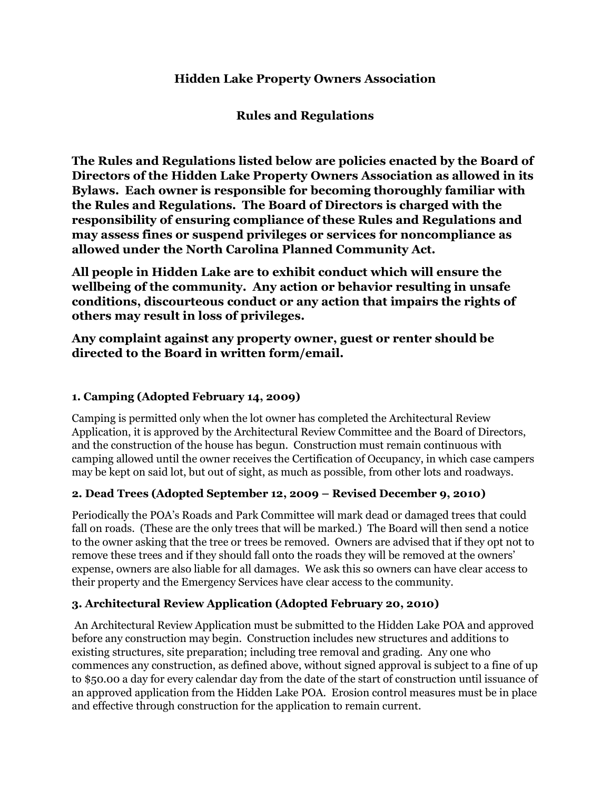# Hidden Lake Property Owners Association

Rules and Regulations

The Rules and Regulations listed below are policies enacted by the Board of Directors of the Hidden Lake Property Owners Association as allowed in its Bylaws. Each owner is responsible for becoming thoroughly familiar with the Rules and Regulations. The Board of Directors is charged with the responsibility of ensuring compliance of these Rules and Regulations and may assess fines or suspend privileges or services for noncompliance as allowed under the North Carolina Planned Community Act.

All people in Hidden Lake are to exhibit conduct which will ensure the wellbeing of the community. Any action or behavior resulting in unsafe conditions, discourteous conduct or any action that impairs the rights of others may result in loss of privileges.

Any complaint against any property owner, guest or renter should be directed to the Board in written form/email.

## 1. Camping (Adopted February 14, 2009)

Camping is permitted only when the lot owner has completed the Architectural Review Application, it is approved by the Architectural Review Committee and the Board of Directors, and the construction of the house has begun. Construction must remain continuous with camping allowed until the owner receives the Certification of Occupancy, in which case campers may be kept on said lot, but out of sight, as much as possible, from other lots and roadways.

### 2. Dead Trees (Adopted September 12, 2009 – Revised December 9, 2010)

Periodically the POA's Roads and Park Committee will mark dead or damaged trees that could fall on roads. (These are the only trees that will be marked.) The Board will then send a notice to the owner asking that the tree or trees be removed. Owners are advised that if they opt not to remove these trees and if they should fall onto the roads they will be removed at the owners' expense, owners are also liable for all damages. We ask this so owners can have clear access to their property and the Emergency Services have clear access to the community.

### 3. Architectural Review Application (Adopted February 20, 2010)

 An Architectural Review Application must be submitted to the Hidden Lake POA and approved before any construction may begin. Construction includes new structures and additions to existing structures, site preparation; including tree removal and grading. Any one who commences any construction, as defined above, without signed approval is subject to a fine of up to \$50.00 a day for every calendar day from the date of the start of construction until issuance of an approved application from the Hidden Lake POA. Erosion control measures must be in place and effective through construction for the application to remain current.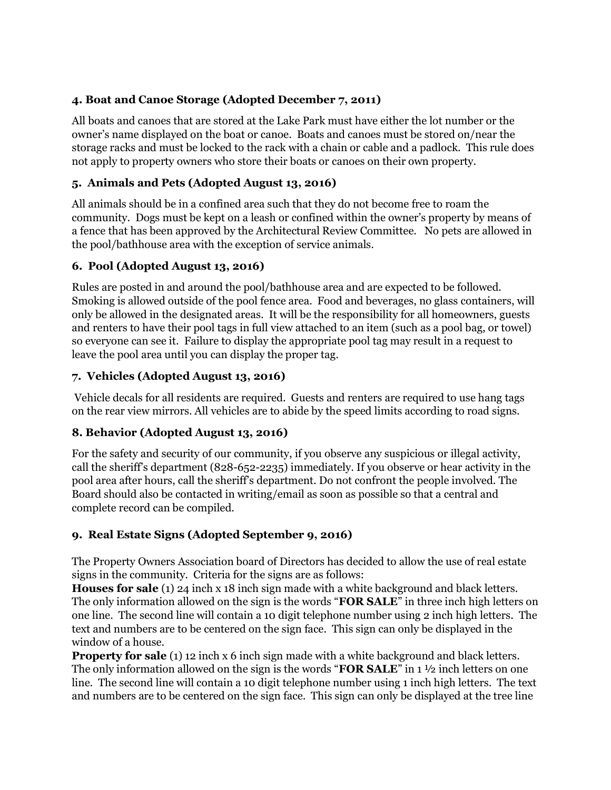# 4. Boat and Canoe Storage (Adopted December 7, 2011)

All boats and canoes that are stored at the Lake Park must have either the lot number or the owner's name displayed on the boat or canoe. Boats and canoes must be stored on/near the storage racks and must be locked to the rack with a chain or cable and a padlock. This rule does not apply to property owners who store their boats or canoes on their own property.

## 5. Animals and Pets (Adopted August 13, 2016)

All animals should be in a confined area such that they do not become free to roam the community. Dogs must be kept on a leash or confined within the owner's property by means of a fence that has been approved by the Architectural Review Committee. No pets are allowed in the pool/bathhouse area with the exception of service animals.

# 6. Pool (Adopted August 13, 2016)

Rules are posted in and around the pool/bathhouse area and are expected to be followed. Smoking is allowed outside of the pool fence area. Food and beverages, no glass containers, will only be allowed in the designated areas. It will be the responsibility for all homeowners, guests and renters to have their pool tags in full view attached to an item (such as a pool bag, or towel) so everyone can see it. Failure to display the appropriate pool tag may result in a request to leave the pool area until you can display the proper tag.

# 7. Vehicles (Adopted August 13, 2016)

 Vehicle decals for all residents are required. Guests and renters are required to use hang tags on the rear view mirrors. All vehicles are to abide by the speed limits according to road signs.

### 8. Behavior (Adopted August 13, 2016)

For the safety and security of our community, if you observe any suspicious or illegal activity, call the sheriff's department (828-652-2235) immediately. If you observe or hear activity in the pool area after hours, call the sheriff's department. Do not confront the people involved. The Board should also be contacted in writing/email as soon as possible so that a central and complete record can be compiled.

# 9. Real Estate Signs (Adopted September 9, 2016)

The Property Owners Association board of Directors has decided to allow the use of real estate signs in the community. Criteria for the signs are as follows:

Houses for sale (1) 24 inch x 18 inch sign made with a white background and black letters. The only information allowed on the sign is the words "**FOR SALE**" in three inch high letters on one line. The second line will contain a 10 digit telephone number using 2 inch high letters. The text and numbers are to be centered on the sign face. This sign can only be displayed in the window of a house.

**Property for sale** (1) 12 inch x 6 inch sign made with a white background and black letters. The only information allowed on the sign is the words "FOR SALE" in  $1\frac{1}{2}$  inch letters on one line. The second line will contain a 10 digit telephone number using 1 inch high letters. The text and numbers are to be centered on the sign face. This sign can only be displayed at the tree line